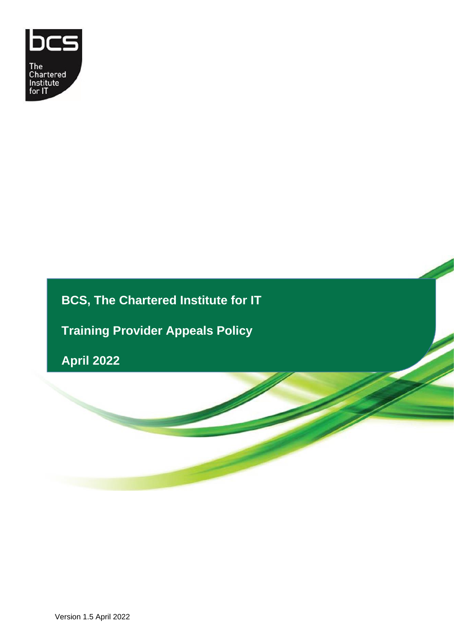

# **BCS, The Chartered Institute for IT**

**Training Provider Appeals Policy**

**April 2022**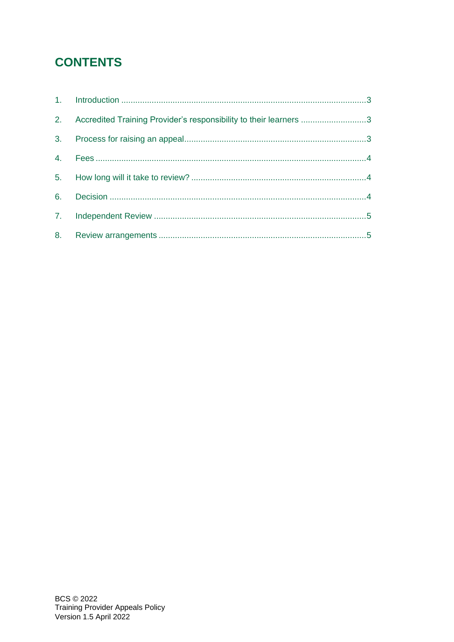# **CONTENTS**

| 2. Accredited Training Provider's responsibility to their learners 3 |  |
|----------------------------------------------------------------------|--|
|                                                                      |  |
|                                                                      |  |
|                                                                      |  |
|                                                                      |  |
|                                                                      |  |
|                                                                      |  |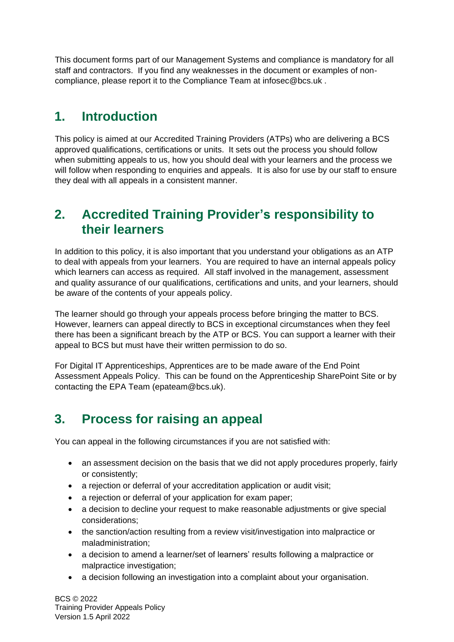This document forms part of our Management Systems and compliance is mandatory for all staff and contractors. If you find any weaknesses in the document or examples of noncompliance, please report it to the Compliance Team at infosec@bcs.uk .

### <span id="page-2-0"></span>**1. Introduction**

This policy is aimed at our Accredited Training Providers (ATPs) who are delivering a BCS approved qualifications, certifications or units. It sets out the process you should follow when submitting appeals to us, how you should deal with your learners and the process we will follow when responding to enquiries and appeals. It is also for use by our staff to ensure they deal with all appeals in a consistent manner.

#### <span id="page-2-1"></span>**2. Accredited Training Provider's responsibility to their learners**

In addition to this policy, it is also important that you understand your obligations as an ATP to deal with appeals from your learners. You are required to have an internal appeals policy which learners can access as required. All staff involved in the management, assessment and quality assurance of our qualifications, certifications and units, and your learners, should be aware of the contents of your appeals policy.

The learner should go through your appeals process before bringing the matter to BCS. However, learners can appeal directly to BCS in exceptional circumstances when they feel there has been a significant breach by the ATP or BCS. You can support a learner with their appeal to BCS but must have their written permission to do so.

For Digital IT Apprenticeships, Apprentices are to be made aware of the End Point Assessment Appeals Policy. This can be found on the Apprenticeship SharePoint Site or by contacting the EPA Team (epateam@bcs.uk).

# <span id="page-2-2"></span>**3. Process for raising an appeal**

You can appeal in the following circumstances if you are not satisfied with:

- an assessment decision on the basis that we did not apply procedures properly, fairly or consistently;
- a rejection or deferral of your accreditation application or audit visit;
- a rejection or deferral of your application for exam paper;
- a decision to decline your request to make reasonable adjustments or give special considerations;
- the sanction/action resulting from a review visit/investigation into malpractice or maladministration;
- a decision to amend a learner/set of learners' results following a malpractice or malpractice investigation;
- a decision following an investigation into a complaint about your organisation.

BCS © 2022 Training Provider Appeals Policy Version 1.5 April 2022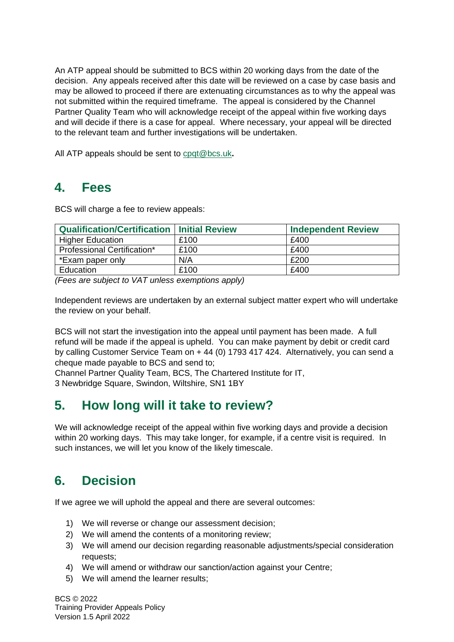An ATP appeal should be submitted to BCS within 20 working days from the date of the decision. Any appeals received after this date will be reviewed on a case by case basis and may be allowed to proceed if there are extenuating circumstances as to why the appeal was not submitted within the required timeframe. The appeal is considered by the Channel Partner Quality Team who will acknowledge receipt of the appeal within five working days and will decide if there is a case for appeal. Where necessary, your appeal will be directed to the relevant team and further investigations will be undertaken.

All ATP appeals should be sent to [cpqt@bcs.uk](mailto:customerservice@bcs.uk)**.**

#### <span id="page-3-0"></span>**4. Fees**

BCS will charge a fee to review appeals:

| <b>Qualification/Certification   Initial Review</b> |      | <b>Independent Review</b> |
|-----------------------------------------------------|------|---------------------------|
| <b>Higher Education</b>                             | £100 | £400                      |
| Professional Certification*                         | £100 | £400                      |
| *Exam paper only                                    | N/A  | £200                      |
| Education                                           | £100 | £400                      |

*(Fees are subject to VAT unless exemptions apply)*

Independent reviews are undertaken by an external subject matter expert who will undertake the review on your behalf.

BCS will not start the investigation into the appeal until payment has been made. A full refund will be made if the appeal is upheld. You can make payment by debit or credit card by calling Customer Service Team on + 44 (0) 1793 417 424. Alternatively, you can send a cheque made payable to BCS and send to;

Channel Partner Quality Team, BCS, The Chartered Institute for IT, 3 Newbridge Square, Swindon, Wiltshire, SN1 1BY

# <span id="page-3-1"></span>**5. How long will it take to review?**

We will acknowledge receipt of the appeal within five working days and provide a decision within 20 working days. This may take longer, for example, if a centre visit is required. In such instances, we will let you know of the likely timescale.

# <span id="page-3-2"></span>**6. Decision**

If we agree we will uphold the appeal and there are several outcomes:

- 1) We will reverse or change our assessment decision;
- 2) We will amend the contents of a monitoring review;
- 3) We will amend our decision regarding reasonable adjustments/special consideration requests;
- 4) We will amend or withdraw our sanction/action against your Centre;
- 5) We will amend the learner results;

BCS © 2022 Training Provider Appeals Policy Version 1.5 April 2022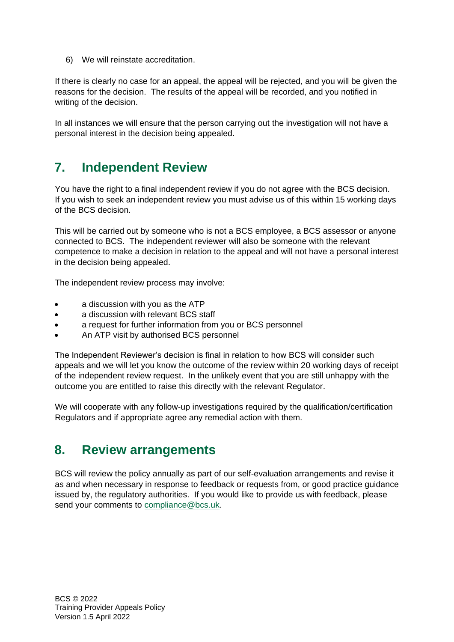6) We will reinstate accreditation.

If there is clearly no case for an appeal, the appeal will be rejected, and you will be given the reasons for the decision. The results of the appeal will be recorded, and you notified in writing of the decision.

In all instances we will ensure that the person carrying out the investigation will not have a personal interest in the decision being appealed.

#### <span id="page-4-0"></span>**7. Independent Review**

You have the right to a final independent review if you do not agree with the BCS decision. If you wish to seek an independent review you must advise us of this within 15 working days of the BCS decision.

This will be carried out by someone who is not a BCS employee, a BCS assessor or anyone connected to BCS. The independent reviewer will also be someone with the relevant competence to make a decision in relation to the appeal and will not have a personal interest in the decision being appealed.

The independent review process may involve:

- a discussion with you as the ATP
- a discussion with relevant BCS staff
- a request for further information from you or BCS personnel
- An ATP visit by authorised BCS personnel

The Independent Reviewer's decision is final in relation to how BCS will consider such appeals and we will let you know the outcome of the review within 20 working days of receipt of the independent review request. In the unlikely event that you are still unhappy with the outcome you are entitled to raise this directly with the relevant Regulator.

We will cooperate with any follow-up investigations required by the qualification/certification Regulators and if appropriate agree any remedial action with them.

#### <span id="page-4-1"></span>**8. Review arrangements**

BCS will review the policy annually as part of our self-evaluation arrangements and revise it as and when necessary in response to feedback or requests from, or good practice guidance issued by, the regulatory authorities. If you would like to provide us with feedback, please send your comments to [compliance@bcs.uk.](mailto:compliance@bcs.uk)